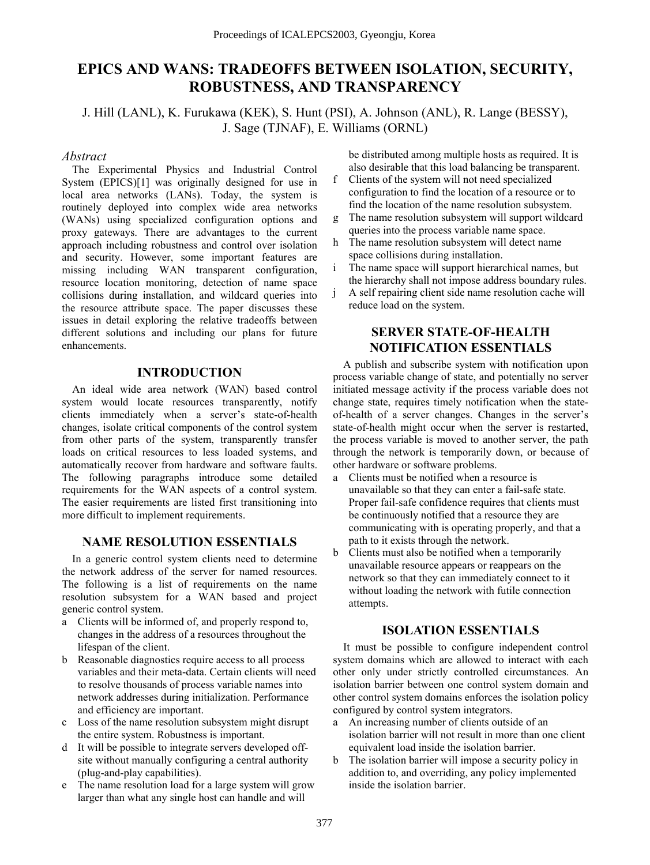# **EPICS AND WANS: TRADEOFFS BETWEEN ISOLATION, SECURITY, ROBUSTNESS, AND TRANSPARENCY**

J. Hill (LANL), K. Furukawa (KEK), S. Hunt (PSI), A. Johnson (ANL), R. Lange (BESSY), J. Sage (TJNAF), E. Williams (ORNL)

## *Abstract*

The Experimental Physics and Industrial Control System (EPICS)[1] was originally designed for use in local area networks (LANs). Today, the system is routinely deployed into complex wide area networks (WANs) using specialized configuration options and proxy gateways. There are advantages to the current approach including robustness and control over isolation and security. However, some important features are missing including WAN transparent configuration, resource location monitoring, detection of name space collisions during installation, and wildcard queries into the resource attribute space. The paper discusses these issues in detail exploring the relative tradeoffs between different solutions and including our plans for future enhancements.

## **INTRODUCTION**

An ideal wide area network (WAN) based control system would locate resources transparently, notify clients immediately when a server's state-of-health changes, isolate critical components of the control system from other parts of the system, transparently transfer loads on critical resources to less loaded systems, and automatically recover from hardware and software faults. The following paragraphs introduce some detailed requirements for the WAN aspects of a control system. The easier requirements are listed first transitioning into more difficult to implement requirements.

# **NAME RESOLUTION ESSENTIALS**

In a generic control system clients need to determine the network address of the server for named resources. The following is a list of requirements on the name resolution subsystem for a WAN based and project generic control system.

- a Clients will be informed of, and properly respond to, changes in the address of a resources throughout the lifespan of the client.
- b Reasonable diagnostics require access to all process variables and their meta-data. Certain clients will need to resolve thousands of process variable names into network addresses during initialization. Performance and efficiency are important.
- c Loss of the name resolution subsystem might disrupt the entire system. Robustness is important.
- d It will be possible to integrate servers developed offsite without manually configuring a central authority (plug-and-play capabilities).
- e The name resolution load for a large system will grow larger than what any single host can handle and will

be distributed among multiple hosts as required. It is also desirable that this load balancing be transparent.

- f Clients of the system will not need specialized configuration to find the location of a resource or to find the location of the name resolution subsystem.
- g The name resolution subsystem will support wildcard queries into the process variable name space.
- h The name resolution subsystem will detect name space collisions during installation.
- i The name space will support hierarchical names, but the hierarchy shall not impose address boundary rules.
- j A self repairing client side name resolution cache will reduce load on the system.

# **SERVER STATE-OF-HEALTH NOTIFICATION ESSENTIALS**

A publish and subscribe system with notification upon process variable change of state, and potentially no server initiated message activity if the process variable does not change state, requires timely notification when the stateof-health of a server changes. Changes in the server's state-of-health might occur when the server is restarted, the process variable is moved to another server, the path through the network is temporarily down, or because of other hardware or software problems.

- a Clients must be notified when a resource is unavailable so that they can enter a fail-safe state. Proper fail-safe confidence requires that clients must be continuously notified that a resource they are communicating with is operating properly, and that a path to it exists through the network.
- b Clients must also be notified when a temporarily unavailable resource appears or reappears on the network so that they can immediately connect to it without loading the network with futile connection attempts.

# **ISOLATION ESSENTIALS**

It must be possible to configure independent control system domains which are allowed to interact with each other only under strictly controlled circumstances. An isolation barrier between one control system domain and other control system domains enforces the isolation policy configured by control system integrators.

- a An increasing number of clients outside of an isolation barrier will not result in more than one client equivalent load inside the isolation barrier.
- b The isolation barrier will impose a security policy in addition to, and overriding, any policy implemented inside the isolation barrier.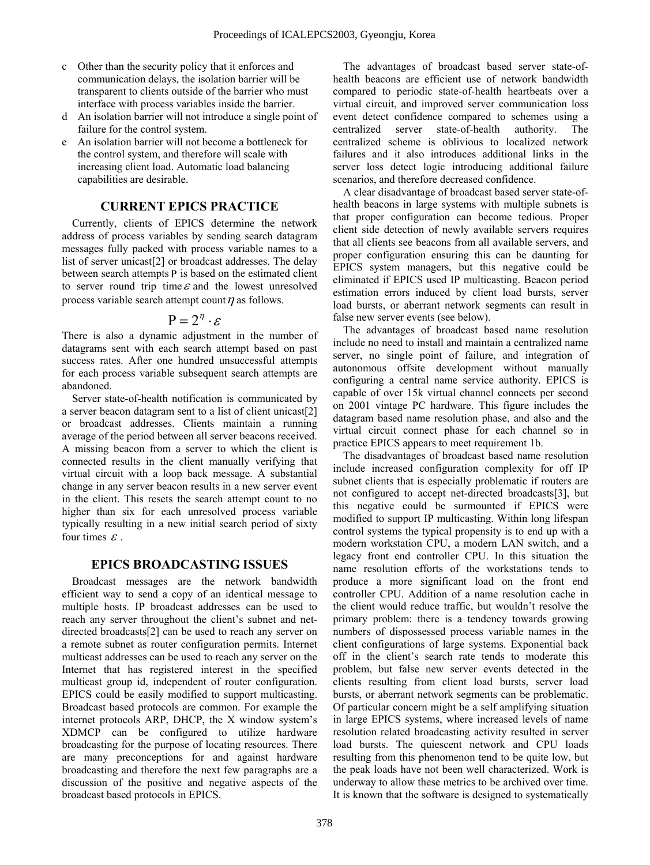- c Other than the security policy that it enforces and communication delays, the isolation barrier will be transparent to clients outside of the barrier who must interface with process variables inside the barrier.
- d An isolation barrier will not introduce a single point of failure for the control system.
- e An isolation barrier will not become a bottleneck for the control system, and therefore will scale with increasing client load. Automatic load balancing capabilities are desirable.

# **CURRENT EPICS PRACTICE**

Currently, clients of EPICS determine the network address of process variables by sending search datagram messages fully packed with process variable names to a list of server unicast[2] or broadcast addresses. The delay between search attempts P is based on the estimated client to server round trip time  $\varepsilon$  and the lowest unresolved process variable search attempt count  $\eta$  as follows.

$$
P=2^n\cdot\varepsilon
$$

There is also a dynamic adjustment in the number of datagrams sent with each search attempt based on past success rates. After one hundred unsuccessful attempts for each process variable subsequent search attempts are abandoned.

Server state-of-health notification is communicated by a server beacon datagram sent to a list of client unicast[2] or broadcast addresses. Clients maintain a running average of the period between all server beacons received. A missing beacon from a server to which the client is connected results in the client manually verifying that virtual circuit with a loop back message. A substantial change in any server beacon results in a new server event in the client. This resets the search attempt count to no higher than six for each unresolved process variable typically resulting in a new initial search period of sixty four times  $\varepsilon$ .

# **EPICS BROADCASTING ISSUES**

Broadcast messages are the network bandwidth efficient way to send a copy of an identical message to multiple hosts. IP broadcast addresses can be used to reach any server throughout the client's subnet and netdirected broadcasts[2] can be used to reach any server on a remote subnet as router configuration permits. Internet multicast addresses can be used to reach any server on the Internet that has registered interest in the specified multicast group id, independent of router configuration. EPICS could be easily modified to support multicasting. Broadcast based protocols are common. For example the internet protocols ARP, DHCP, the X window system's XDMCP can be configured to utilize hardware broadcasting for the purpose of locating resources. There are many preconceptions for and against hardware broadcasting and therefore the next few paragraphs are a discussion of the positive and negative aspects of the broadcast based protocols in EPICS.

The advantages of broadcast based server state-ofhealth beacons are efficient use of network bandwidth compared to periodic state-of-health heartbeats over a virtual circuit, and improved server communication loss event detect confidence compared to schemes using a centralized server state-of-health authority. The centralized scheme is oblivious to localized network failures and it also introduces additional links in the server loss detect logic introducing additional failure scenarios, and therefore decreased confidence.

A clear disadvantage of broadcast based server state-ofhealth beacons in large systems with multiple subnets is that proper configuration can become tedious. Proper client side detection of newly available servers requires that all clients see beacons from all available servers, and proper configuration ensuring this can be daunting for EPICS system managers, but this negative could be eliminated if EPICS used IP multicasting. Beacon period estimation errors induced by client load bursts, server load bursts, or aberrant network segments can result in false new server events (see below).

The advantages of broadcast based name resolution include no need to install and maintain a centralized name server, no single point of failure, and integration of autonomous offsite development without manually configuring a central name service authority. EPICS is capable of over 15k virtual channel connects per second on 2001 vintage PC hardware. This figure includes the datagram based name resolution phase, and also and the virtual circuit connect phase for each channel so in practice EPICS appears to meet requirement 1b.

The disadvantages of broadcast based name resolution include increased configuration complexity for off IP subnet clients that is especially problematic if routers are not configured to accept net-directed broadcasts[3], but this negative could be surmounted if EPICS were modified to support IP multicasting. Within long lifespan control systems the typical propensity is to end up with a modern workstation CPU, a modern LAN switch, and a legacy front end controller CPU. In this situation the name resolution efforts of the workstations tends to produce a more significant load on the front end controller CPU. Addition of a name resolution cache in the client would reduce traffic, but wouldn't resolve the primary problem: there is a tendency towards growing numbers of dispossessed process variable names in the client configurations of large systems. Exponential back off in the client's search rate tends to moderate this problem, but false new server events detected in the clients resulting from client load bursts, server load bursts, or aberrant network segments can be problematic. Of particular concern might be a self amplifying situation in large EPICS systems, where increased levels of name resolution related broadcasting activity resulted in server load bursts. The quiescent network and CPU loads resulting from this phenomenon tend to be quite low, but the peak loads have not been well characterized. Work is underway to allow these metrics to be archived over time. It is known that the software is designed to systematically